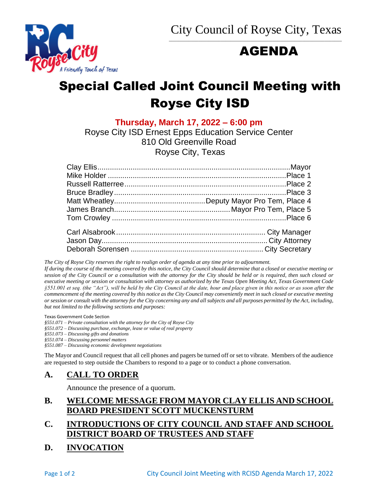$\overline{\phantom{a}}$  ,  $\overline{\phantom{a}}$  ,  $\overline{\phantom{a}}$  ,  $\overline{\phantom{a}}$  ,  $\overline{\phantom{a}}$  ,  $\overline{\phantom{a}}$  ,  $\overline{\phantom{a}}$  ,  $\overline{\phantom{a}}$  ,  $\overline{\phantom{a}}$  ,  $\overline{\phantom{a}}$  ,  $\overline{\phantom{a}}$  ,  $\overline{\phantom{a}}$  ,  $\overline{\phantom{a}}$  ,  $\overline{\phantom{a}}$  ,  $\overline{\phantom{a}}$  ,  $\overline{\phantom{a}}$ 

# AGENDA



**Thursday, March 17, 2022 – 6:00 pm**

Royse City ISD Ernest Epps Education Service Center 810 Old Greenville Road Royse City, Texas

*The City of Royse City reserves the right to realign order of agenda at any time prior to adjournment.*

*If during the course of the meeting covered by this notice, the City Council should determine that a closed or executive meeting or session of the City Council or a consultation with the attorney for the City should be held or is required, then such closed or executive meeting or session or consultation with attorney as authorized by the Texas Open Meeting Act, Texas Government Code §551.001 et seq. (the "Act"), will be held by the City Council at the date, hour and place given in this notice or as soon after the commencement of the meeting covered by this notice as the City Council may conveniently meet in such closed or executive meeting or session or consult with the attorney for the City concerning any and all subjects and all purposes permitted by the Act, including, but not limited to the following sections and purposes:*

Texas Government Code Section

*§551.071 – Private consultation with the attorney for the City of Royse City* 

*§551.072 – Discussing purchase, exchange, lease or value of real property* 

*§551.073 – Discussing gifts and donations*

*§551.074 – Discussing personnel matters*

*§551.087 – Discussing economic development negotiations*

The Mayor and Council request that all cell phones and pagers be turned off or set to vibrate. Members of the audience are requested to step outside the Chambers to respond to a page or to conduct a phone conversation.

#### **A. CALL TO ORDER**

Announce the presence of a quorum.

## **B. WELCOME MESSAGE FROM MAYOR CLAY ELLIS AND SCHOOL BOARD PRESIDENT SCOTT MUCKENSTURM**

## **C. INTRODUCTIONS OF CITY COUNCIL AND STAFF AND SCHOOL DISTRICT BOARD OF TRUSTEES AND STAFF**

**D. INVOCATION**